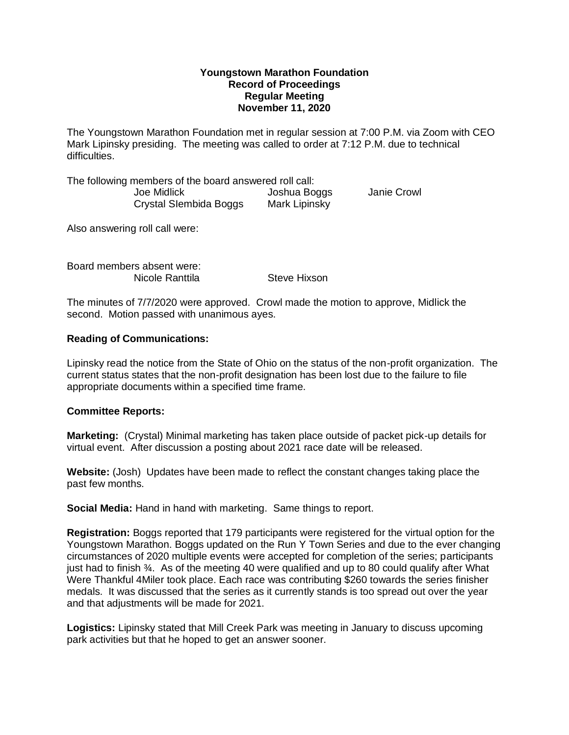## **Youngstown Marathon Foundation Record of Proceedings Regular Meeting November 11, 2020**

The Youngstown Marathon Foundation met in regular session at 7:00 P.M. via Zoom with CEO Mark Lipinsky presiding. The meeting was called to order at 7:12 P.M. due to technical difficulties.

The following members of the board answered roll call: Joe Midlick Joshua Boggs Janie Crowl Crystal SIembida Boggs Mark Lipinsky

Also answering roll call were:

Board members absent were: Nicole Ranttila Steve Hixson

The minutes of 7/7/2020 were approved. Crowl made the motion to approve, Midlick the second. Motion passed with unanimous ayes.

# **Reading of Communications:**

Lipinsky read the notice from the State of Ohio on the status of the non-profit organization. The current status states that the non-profit designation has been lost due to the failure to file appropriate documents within a specified time frame.

### **Committee Reports:**

**Marketing:** (Crystal) Minimal marketing has taken place outside of packet pick-up details for virtual event. After discussion a posting about 2021 race date will be released.

**Website:** (Josh) Updates have been made to reflect the constant changes taking place the past few months.

**Social Media:** Hand in hand with marketing. Same things to report.

**Registration:** Boggs reported that 179 participants were registered for the virtual option for the Youngstown Marathon. Boggs updated on the Run Y Town Series and due to the ever changing circumstances of 2020 multiple events were accepted for completion of the series; participants just had to finish ¾. As of the meeting 40 were qualified and up to 80 could qualify after What Were Thankful 4Miler took place. Each race was contributing \$260 towards the series finisher medals. It was discussed that the series as it currently stands is too spread out over the year and that adjustments will be made for 2021.

**Logistics:** Lipinsky stated that Mill Creek Park was meeting in January to discuss upcoming park activities but that he hoped to get an answer sooner.